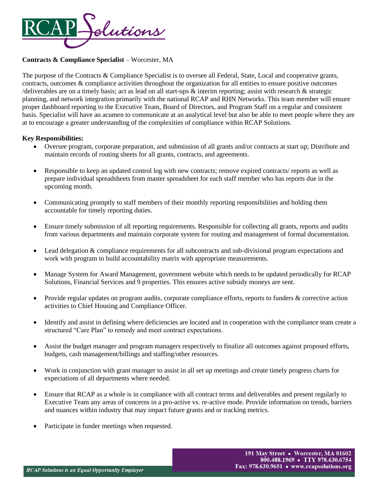

# **Contracts & Compliance Specialist** – Worcester, MA

The purpose of the Contracts & Compliance Specialist is to oversee all Federal, State, Local and cooperative grants, contracts, outcomes & compliance activities throughout the organization for all entities to ensure positive outcomes /deliverables are on a timely basis; act as lead on all start-ups  $\&$  interim reporting; assist with research  $\&$  strategic planning, and network integration primarily with the national RCAP and RHN Networks. This team member will ensure proper dashboard reporting to the Executive Team, Board of Directors, and Program Staff on a regular and consistent basis. Specialist will have an acumen to communicate at an analytical level but also be able to meet people where they are at to encourage a greater understanding of the complexities of compliance within RCAP Solutions.

## **Key Responsibilities:**

- Oversee program, corporate preparation, and submission of all grants and/or contracts at start up; Distribute and maintain records of routing sheets for all grants, contracts, and agreements.
- Responsible to keep an updated control log with new contracts; remove expired contracts/ reports as well as prepare individual spreadsheets from master spreadsheet for each staff member who has reports due in the upcoming month.
- Communicating promptly to staff members of their monthly reporting responsibilities and holding them accountable for timely reporting duties.
- Ensure timely submission of all reporting requirements. Responsible for collecting all grants, reports and audits from various departments and maintain corporate system for routing and management of formal documentation.
- Lead delegation & compliance requirements for all subcontracts and sub-divisional program expectations and work with program to build accountability matrix with appropriate measurements.
- Manage System for Award Management, government website which needs to be updated periodically for RCAP Solutions, Financial Services and 9 properties. This ensures active subsidy moneys are sent.
- Provide regular updates on program audits, corporate compliance efforts, reports to funders & corrective action activities to Chief Housing and Compliance Officer.
- Identify and assist in defining where deficiencies are located and in cooperation with the compliance team create a structured "Care Plan" to remedy and meet contract expectations.
- Assist the budget manager and program managers respectively to finalize all outcomes against proposed efforts, budgets, cash management/billings and staffing/other resources.
- Work in conjunction with grant manager to assist in all set up meetings and create timely progress charts for expectations of all departments where needed.
- Ensure that RCAP as a whole is in compliance with all contract terms and deliverables and present regularly to Executive Team any areas of concerns in a pro-active vs. re-active mode. Provide information on trends, barriers and nuances within industry that may impact future grants and or tracking metrics.
- Participate in funder meetings when requested.